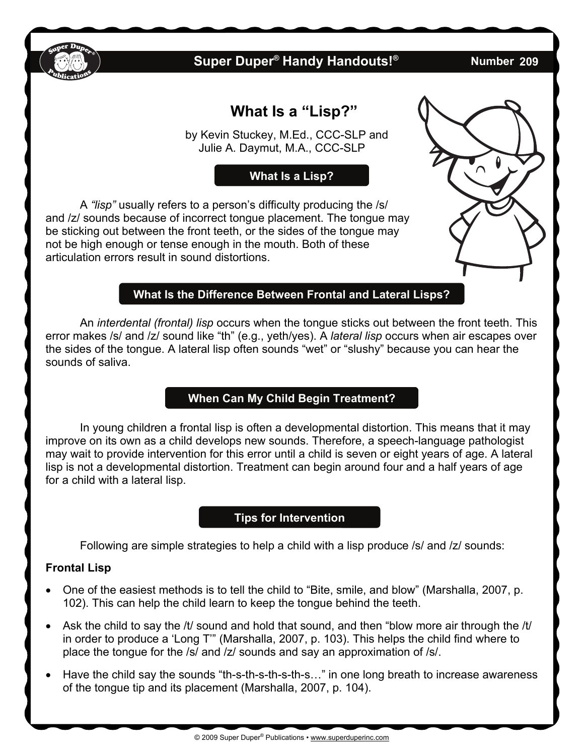

## **Super Duper<sup>®</sup> Handy Handouts!®**

**209** 

# **What Is a "Lisp?"**

 by Kevin Stuckey, M.Ed., CCC-SLP and Julie A. Daymut, M.A., CCC-SLP

**What Is a Lisp?** 

A *"lisp"* usually refers to a person's difficulty producing the /s/ and /z/ sounds because of incorrect tongue placement. The tongue may be sticking out between the front teeth, or the sides of the tongue may not be high enough or tense enough in the mouth. Both of these articulation errors result in sound distortions.

## **What Is the Difference Between Frontal and Lateral Lisps?**

 An *interdental (frontal) lisp* occurs when the tongue sticks out between the front teeth. This error makes /s/ and /z/ sound like "th" (e.g., yeth/yes). A *lateral lisp* occurs when air escapes over the sides of the tongue. A lateral lisp often sounds "wet" or "slushy" because you can hear the sounds of saliva.

### **When Can My Child Begin Treatment?**

 In young children a frontal lisp is often a developmental distortion. This means that it may improve on its own as a child develops new sounds. Therefore, a speech-language pathologist may wait to provide intervention for this error until a child is seven or eight years of age. A lateral lisp is not a developmental distortion. Treatment can begin around four and a half years of age for a child with a lateral lisp.

#### **Tips for Intervention**

Following are simple strategies to help a child with a lisp produce /s/ and /z/ sounds:

#### **Frontal Lisp**

- One of the easiest methods is to tell the child to "Bite, smile, and blow" (Marshalla, 2007, p. 102). This can help the child learn to keep the tongue behind the teeth.
- Ask the child to say the /t/ sound and hold that sound, and then "blow more air through the /t/ in order to produce a 'Long T'" (Marshalla, 2007, p. 103). This helps the child find where to place the tongue for the /s/ and /z/ sounds and say an approximation of /s/.
- Have the child say the sounds "th-s-th-s-th-s-th-s…" in one long breath to increase awareness of the tongue tip and its placement (Marshalla, 2007, p. 104).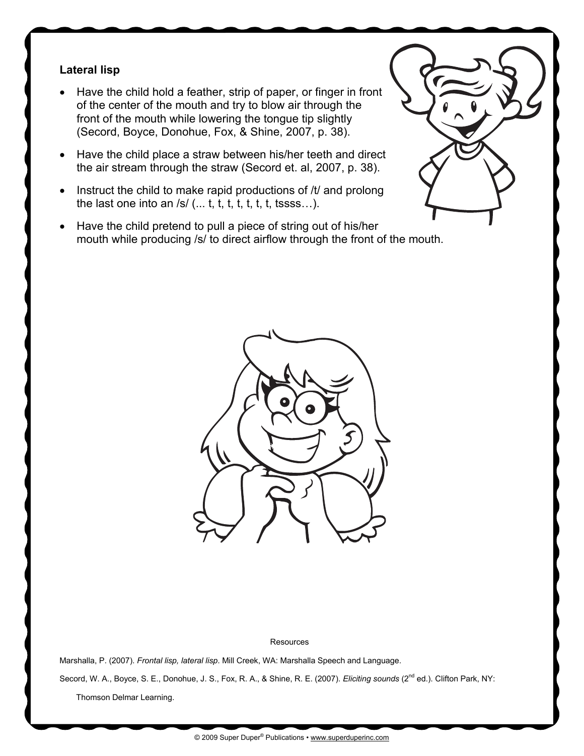#### **Lateral lisp**

- Have the child hold a feather, strip of paper, or finger in front of the center of the mouth and try to blow air through the front of the mouth while lowering the tongue tip slightly (Secord, Boyce, Donohue, Fox, & Shine, 2007, p. 38).
- Have the child place a straw between his/her teeth and direct the air stream through the straw (Secord et. al, 2007, p. 38).
- $\bullet$  Instruct the child to make rapid productions of /t/ and prolong the last one into an  $/s/$  (... t, t, t, t, t, t, t, tssss...).
- Have the child pretend to pull a piece of string out of his/her mouth while producing /s/ to direct airflow through the front of the mouth.



**Resources** 

Marshalla, P. (2007). *Frontal lisp, lateral lisp*. Mill Creek, WA: Marshalla Speech and Language.

Secord, W. A., Boyce, S. E., Donohue, J. S., Fox, R. A., & Shine, R. E. (2007). *Eliciting sounds* (2<sup>nd</sup> ed.). Clifton Park, NY:

Thomson Delmar Learning.